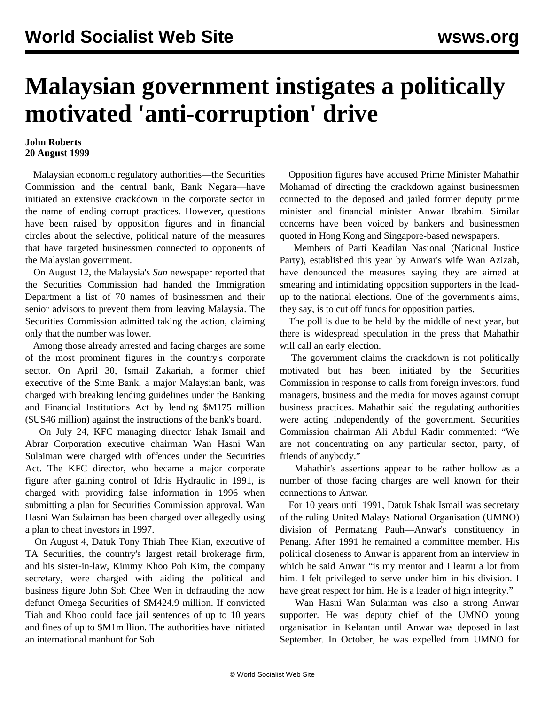## **Malaysian government instigates a politically motivated 'anti-corruption' drive**

## **John Roberts 20 August 1999**

 Malaysian economic regulatory authorities—the Securities Commission and the central bank, Bank Negara—have initiated an extensive crackdown in the corporate sector in the name of ending corrupt practices. However, questions have been raised by opposition figures and in financial circles about the selective, political nature of the measures that have targeted businessmen connected to opponents of the Malaysian government.

 On August 12, the Malaysia's *Sun* newspaper reported that the Securities Commission had handed the Immigration Department a list of 70 names of businessmen and their senior advisors to prevent them from leaving Malaysia. The Securities Commission admitted taking the action, claiming only that the number was lower.

 Among those already arrested and facing charges are some of the most prominent figures in the country's corporate sector. On April 30, Ismail Zakariah, a former chief executive of the Sime Bank, a major Malaysian bank, was charged with breaking lending guidelines under the Banking and Financial Institutions Act by lending \$M175 million (\$US46 million) against the instructions of the bank's board.

 On July 24, KFC managing director Ishak Ismail and Abrar Corporation executive chairman Wan Hasni Wan Sulaiman were charged with offences under the Securities Act. The KFC director, who became a major corporate figure after gaining control of Idris Hydraulic in 1991, is charged with providing false information in 1996 when submitting a plan for Securities Commission approval. Wan Hasni Wan Sulaiman has been charged over allegedly using a plan to cheat investors in 1997.

 On August 4, Datuk Tony Thiah Thee Kian, executive of TA Securities, the country's largest retail brokerage firm, and his sister-in-law, Kimmy Khoo Poh Kim, the company secretary, were charged with aiding the political and business figure John Soh Chee Wen in defrauding the now defunct Omega Securities of \$M424.9 million. If convicted Tiah and Khoo could face jail sentences of up to 10 years and fines of up to \$M1million. The authorities have initiated an international manhunt for Soh.

 Opposition figures have accused Prime Minister Mahathir Mohamad of directing the crackdown against businessmen connected to the deposed and jailed former deputy prime minister and financial minister Anwar Ibrahim. Similar concerns have been voiced by bankers and businessmen quoted in Hong Kong and Singapore-based newspapers.

 Members of Parti Keadilan Nasional (National Justice Party), established this year by Anwar's wife Wan Azizah, have denounced the measures saying they are aimed at smearing and intimidating opposition supporters in the leadup to the national elections. One of the government's aims, they say, is to cut off funds for opposition parties.

 The poll is due to be held by the middle of next year, but there is widespread speculation in the press that Mahathir will call an early election.

 The government claims the crackdown is not politically motivated but has been initiated by the Securities Commission in response to calls from foreign investors, fund managers, business and the media for moves against corrupt business practices. Mahathir said the regulating authorities were acting independently of the government. Securities Commission chairman Ali Abdul Kadir commented: "We are not concentrating on any particular sector, party, of friends of anybody."

 Mahathir's assertions appear to be rather hollow as a number of those facing charges are well known for their connections to Anwar.

 For 10 years until 1991, Datuk Ishak Ismail was secretary of the ruling United Malays National Organisation (UMNO) division of Permatang Pauh—Anwar's constituency in Penang. After 1991 he remained a committee member. His political closeness to Anwar is apparent from an interview in which he said Anwar "is my mentor and I learnt a lot from him. I felt privileged to serve under him in his division. I have great respect for him. He is a leader of high integrity."

 Wan Hasni Wan Sulaiman was also a strong Anwar supporter. He was deputy chief of the UMNO young organisation in Kelantan until Anwar was deposed in last September. In October, he was expelled from UMNO for